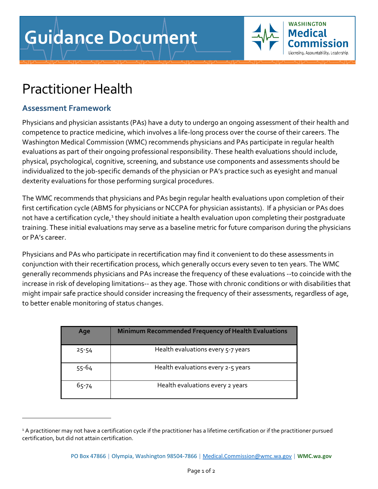

## Practitioner Health

## **Assessment Framework**

Physicians and physician assistants (PAs) have a duty to undergo an ongoing assessment of their health and competence to practice medicine, which involves a life-long process over the course of their careers. The Washington Medical Commission (WMC) recommends physicians and PAs participate in regular health evaluations as part of their ongoing professional responsibility. These health evaluations should include, physical, psychological, cognitive, screening, and substance use components and assessments should be individualized to the job-specific demands of the physician or PA's practice such as eyesight and manual dexterity evaluations for those performing surgical procedures.

The WMC recommends that physicians and PAs begin regular health evaluations upon completion of their first certification cycle (ABMS for physicians or NCCPA for physician assistants). If a physician or PAs does not have a certification cycle,<sup>1</sup> they should initiate a health evaluation upon completing their postgraduate training. These initial evaluations may serve as a baseline metric for future comparison during the physicians or PA's career.

Physicians and PAs who participate in recertification may find it convenient to do these assessments in conjunction with their recertification process, which generally occurs every seven to ten years. The WMC generally recommends physicians and PAs increase the frequency of these evaluations --to coincide with the increase in risk of developing limitations-- as they age. Those with chronic conditions or with disabilities that might impair safe practice should consider increasing the frequency of their assessments, regardless of age, to better enable monitoring of status changes.

| Age       | <b>Minimum Recommended Frequency of Health Evaluations</b> |
|-----------|------------------------------------------------------------|
| $25 - 54$ | Health evaluations every 5-7 years                         |
| $55 - 64$ | Health evaluations every 2-5 years                         |
| 65-74     | Health evaluations every 2 years                           |

<span id="page-0-0"></span><sup>&</sup>lt;sup>1</sup> A practitioner may not have a certification cycle if the practitioner has a lifetime certification or if the practitioner pursued certification, but did not attain certification.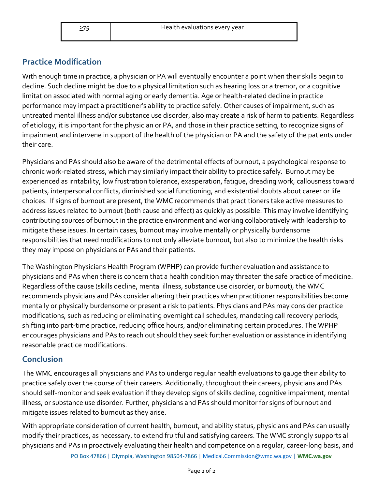## **Practice Modification**

With enough time in practice, a physician or PA will eventually encounter a point when their skills begin to decline. Such decline might be due to a physical limitation such as hearing loss or a tremor, or a cognitive limitation associated with normal aging or early dementia. Age or health-related decline in practice performance may impact a practitioner's ability to practice safely. Other causes of impairment, such as untreated mental illness and/or substance use disorder, also may create a risk of harm to patients. Regardless of etiology, it is important for the physician or PA, and those in their practice setting, to recognize signs of impairment and intervene in support of the health of the physician or PA and the safety of the patients under their care.

Physicians and PAs should also be aware of the detrimental effects of burnout, a psychological response to chronic work-related stress, which may similarly impact their ability to practice safely. Burnout may be experienced as irritability, low frustration tolerance, exasperation, fatigue, dreading work, callousness toward patients, interpersonal conflicts, diminished social functioning, and existential doubts about career or life choices. If signs of burnout are present, the WMC recommends that practitioners take active measures to address issues related to burnout (both cause and effect) as quickly as possible. This may involve identifying contributing sources of burnout in the practice environment and working collaboratively with leadership to mitigate these issues. In certain cases, burnout may involve mentally or physically burdensome responsibilities that need modifications to not only alleviate burnout, but also to minimize the health risks they may impose on physicians or PAs and their patients.

The Washington Physicians Health Program (WPHP) can provide further evaluation and assistance to physicians and PAs when there is concern that a health condition may threaten the safe practice of medicine. Regardless of the cause (skills decline, mental illness, substance use disorder, or burnout), the WMC recommends physicians and PAs consider altering their practices when practitioner responsibilities become mentally or physically burdensome or present a risk to patients. Physicians and PAs may consider practice modifications, such as reducing or eliminating overnight call schedules, mandating call recovery periods, shifting into part-time practice, reducing office hours, and/or eliminating certain procedures. The WPHP encourages physicians and PAs to reach out should they seek further evaluation or assistance in identifying reasonable practice modifications.

## **Conclusion**

The WMC encourages all physicians and PAs to undergo regular health evaluations to gauge their ability to practice safely over the course of their careers. Additionally, throughout their careers, physicians and PAs should self-monitor and seek evaluation if they develop signs of skills decline, cognitive impairment, mental illness, or substance use disorder. Further, physicians and PAs should monitor for signs of burnout and mitigate issues related to burnout as they arise.

With appropriate consideration of current health, burnout, and ability status, physicians and PAs can usually modify their practices, as necessary, to extend fruitful and satisfying careers. The WMC strongly supports all physicians and PAs in proactively evaluating their health and competence on a regular, career-long basis, and

PO Box 47866 | Olympia, Washington 98504-7866 [| Medical.Commission@wmc.wa.gov](mailto:Medical.Commission@wmc.wa.gov) | **[WMC.wa.gov](http://www.wmc.wa.gov/)**